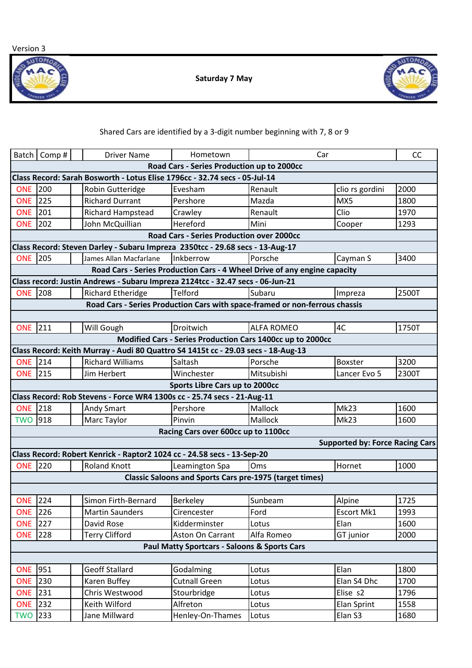Version 3



**Saturday 7 May** 



## Shared Cars are identified by a 3-digit number beginning with 7, 8 or 9

|                                                                                | Batch   Comp# | <b>Driver Name</b>                                                                | Hometown                            | Car                                                        |                                        | CC    |  |  |  |  |  |  |
|--------------------------------------------------------------------------------|---------------|-----------------------------------------------------------------------------------|-------------------------------------|------------------------------------------------------------|----------------------------------------|-------|--|--|--|--|--|--|
| Road Cars - Series Production up to 2000cc                                     |               |                                                                                   |                                     |                                                            |                                        |       |  |  |  |  |  |  |
| Class Record: Sarah Bosworth - Lotus Elise 1796cc - 32.74 secs - 05-Jul-14     |               |                                                                                   |                                     |                                                            |                                        |       |  |  |  |  |  |  |
| <b>ONE</b>                                                                     | 200           | Robin Gutteridge                                                                  | Evesham                             | Renault                                                    | clio rs gordini                        | 2000  |  |  |  |  |  |  |
| <b>ONE</b>                                                                     | 225           | <b>Richard Durrant</b>                                                            | Pershore                            | Mazda                                                      | MX5                                    | 1800  |  |  |  |  |  |  |
| <b>ONE</b>                                                                     | 201           | Richard Hampstead                                                                 | Crawley                             | Renault                                                    | Clio                                   | 1970  |  |  |  |  |  |  |
| <b>ONE</b>                                                                     | 202           | John McQuillian                                                                   | Hereford                            | Mini                                                       | Cooper                                 | 1293  |  |  |  |  |  |  |
| Road Cars - Series Production over 2000cc                                      |               |                                                                                   |                                     |                                                            |                                        |       |  |  |  |  |  |  |
| Class Record: Steven Darley - Subaru Impreza 2350tcc - 29.68 secs - 13-Aug-17  |               |                                                                                   |                                     |                                                            |                                        |       |  |  |  |  |  |  |
| <b>ONE 205</b>                                                                 |               | James Allan Macfarlane                                                            | Inkberrow                           | Porsche                                                    | Cayman S                               | 3400  |  |  |  |  |  |  |
| Road Cars - Series Production Cars - 4 Wheel Drive of any engine capacity      |               |                                                                                   |                                     |                                                            |                                        |       |  |  |  |  |  |  |
| Class record: Justin Andrews - Subaru Impreza 2124tcc - 32.47 secs - 06-Jun-21 |               |                                                                                   |                                     |                                                            |                                        |       |  |  |  |  |  |  |
| <b>ONE</b>                                                                     | 208           | <b>Richard Etheridge</b>                                                          | <b>Telford</b>                      | Subaru                                                     | Impreza                                | 2500T |  |  |  |  |  |  |
| Road Cars - Series Production Cars with space-framed or non-ferrous chassis    |               |                                                                                   |                                     |                                                            |                                        |       |  |  |  |  |  |  |
|                                                                                |               |                                                                                   |                                     |                                                            |                                        |       |  |  |  |  |  |  |
| <b>ONE</b>                                                                     | 211           | Will Gough                                                                        | Droitwich                           | <b>ALFA ROMEO</b>                                          | 4C                                     | 1750T |  |  |  |  |  |  |
|                                                                                |               |                                                                                   |                                     | Modified Cars - Series Production Cars 1400cc up to 2000cc |                                        |       |  |  |  |  |  |  |
|                                                                                |               | Class Record: Keith Murray - Audi 80 Quattro S4 1415t cc - 29.03 secs - 18-Aug-13 |                                     |                                                            |                                        |       |  |  |  |  |  |  |
| <b>ONE</b> 214                                                                 |               | <b>Richard Williams</b>                                                           | Saltash                             | Porsche                                                    | <b>Boxster</b>                         | 3200  |  |  |  |  |  |  |
| <b>ONE</b> 215                                                                 |               | Jim Herbert                                                                       | Winchester                          | Mitsubishi                                                 | Lancer Evo 5                           | 2300T |  |  |  |  |  |  |
| Sports Libre Cars up to 2000cc                                                 |               |                                                                                   |                                     |                                                            |                                        |       |  |  |  |  |  |  |
|                                                                                |               | Class Record: Rob Stevens - Force WR4 1300s cc - 25.74 secs - 21-Aug-11           |                                     |                                                            |                                        |       |  |  |  |  |  |  |
| <b>ONE</b>                                                                     | 218           | <b>Andy Smart</b>                                                                 | Pershore                            | Mallock                                                    | <b>Mk23</b>                            | 1600  |  |  |  |  |  |  |
| <b>TWO</b>                                                                     | 918           | Marc Taylor                                                                       | Pinvin                              | Mallock                                                    | Mk23                                   | 1600  |  |  |  |  |  |  |
|                                                                                |               |                                                                                   | Racing Cars over 600cc up to 1100cc |                                                            |                                        |       |  |  |  |  |  |  |
|                                                                                |               |                                                                                   |                                     |                                                            | <b>Supported by: Force Racing Cars</b> |       |  |  |  |  |  |  |
|                                                                                |               | Class Record: Robert Kenrick - Raptor2 1024 cc - 24.58 secs - 13-Sep-20           |                                     |                                                            |                                        |       |  |  |  |  |  |  |
| <b>ONE</b> 220                                                                 |               | <b>Roland Knott</b>                                                               | Leamington Spa                      | Oms                                                        | Hornet                                 | 1000  |  |  |  |  |  |  |
| <b>Classic Saloons and Sports Cars pre-1975 (target times)</b>                 |               |                                                                                   |                                     |                                                            |                                        |       |  |  |  |  |  |  |
|                                                                                |               |                                                                                   |                                     |                                                            |                                        |       |  |  |  |  |  |  |
| <b>ONE</b> 224                                                                 |               | Simon Firth-Bernard                                                               | <b>Berkeley</b>                     | Sunbeam                                                    | Alpine                                 | 1725  |  |  |  |  |  |  |
| <b>ONE</b> 226                                                                 |               | <b>Martin Saunders</b>                                                            | Cirencester                         | Ford                                                       | Escort Mk1                             | 1993  |  |  |  |  |  |  |
| <b>ONE</b> 227                                                                 |               | David Rose                                                                        | Kidderminster                       | Lotus                                                      | Elan                                   | 1600  |  |  |  |  |  |  |
| <b>ONE</b>                                                                     | 228           | <b>Terry Clifford</b>                                                             | Aston On Carrant                    | Alfa Romeo                                                 | GT junior                              | 2000  |  |  |  |  |  |  |
| <b>Paul Matty Sportcars - Saloons &amp; Sports Cars</b>                        |               |                                                                                   |                                     |                                                            |                                        |       |  |  |  |  |  |  |
|                                                                                |               |                                                                                   |                                     |                                                            |                                        |       |  |  |  |  |  |  |
| <b>ONE</b>                                                                     | 951           | <b>Geoff Stallard</b>                                                             | Godalming                           | Lotus                                                      | Elan                                   | 1800  |  |  |  |  |  |  |
| <b>ONE 230</b>                                                                 |               | Karen Buffey                                                                      | <b>Cutnall Green</b>                | Lotus                                                      | Elan S4 Dhc                            | 1700  |  |  |  |  |  |  |
| <b>ONE</b> 231                                                                 |               | Chris Westwood                                                                    | Stourbridge                         | Lotus                                                      | Elise s2                               | 1796  |  |  |  |  |  |  |
| <b>ONE</b> 232                                                                 |               | Keith Wilford                                                                     | Alfreton                            | Lotus                                                      | <b>Elan Sprint</b>                     | 1558  |  |  |  |  |  |  |
| <b>TWO</b>                                                                     | 233           | Jane Millward                                                                     | Henley-On-Thames                    | Lotus                                                      | Elan S3                                | 1680  |  |  |  |  |  |  |